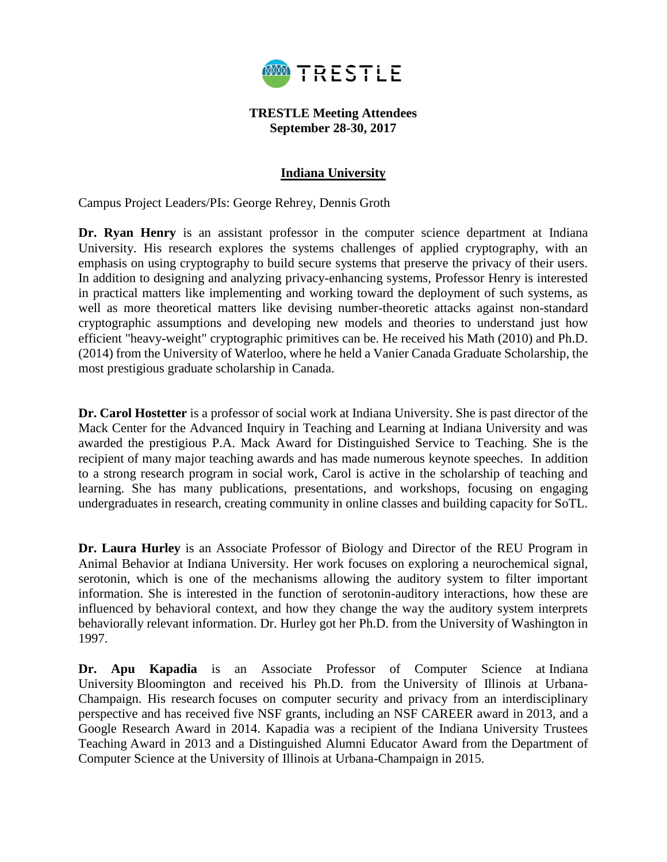

#### **TRESTLE Meeting Attendees September 28-30, 2017**

### **Indiana University**

Campus Project Leaders/PIs: George Rehrey, Dennis Groth

Dr. Ryan Henry is an assistant professor in the computer science department at Indiana University. His research explores the systems challenges of applied cryptography, with an emphasis on using cryptography to build secure systems that preserve the privacy of their users. In addition to designing and analyzing privacy-enhancing systems, Professor Henry is interested in practical matters like implementing and working toward the deployment of such systems, as well as more theoretical matters like devising number-theoretic attacks against non-standard cryptographic assumptions and developing new models and theories to understand just how efficient "heavy-weight" cryptographic primitives can be. He received his Math (2010) and Ph.D. (2014) from the University of Waterloo, where he held a Vanier Canada Graduate Scholarship, the most prestigious graduate scholarship in Canada.

**Dr. Carol Hostetter** is a professor of social work at Indiana University. She is past director of the Mack Center for the Advanced Inquiry in Teaching and Learning at Indiana University and was awarded the prestigious P.A. Mack Award for Distinguished Service to Teaching. She is the recipient of many major teaching awards and has made numerous keynote speeches. In addition to a strong research program in social work, Carol is active in the scholarship of teaching and learning. She has many publications, presentations, and workshops, focusing on engaging undergraduates in research, creating community in online classes and building capacity for SoTL.

**Dr. Laura Hurley** is an Associate Professor of Biology and Director of the REU Program in Animal Behavior at Indiana University. Her work focuses on exploring a neurochemical signal, serotonin, which is one of the mechanisms allowing the auditory system to filter important information. She is interested in the function of serotonin-auditory interactions, how these are influenced by behavioral context, and how they change the way the auditory system interprets behaviorally relevant information. Dr. Hurley got her Ph.D. from the University of Washington in 1997.

**Dr. Apu Kapadia** is an Associate Professor of Computer Science at Indiana University Bloomington and received his Ph.D. from the University of Illinois at Urbana-Champaign. His research focuses on computer security and privacy from an interdisciplinary perspective and has received five NSF grants, including an NSF CAREER award in 2013, and a Google Research Award in 2014. Kapadia was a recipient of the Indiana University Trustees Teaching Award in 2013 and a Distinguished Alumni Educator Award from the Department of Computer Science at the University of Illinois at Urbana-Champaign in 2015.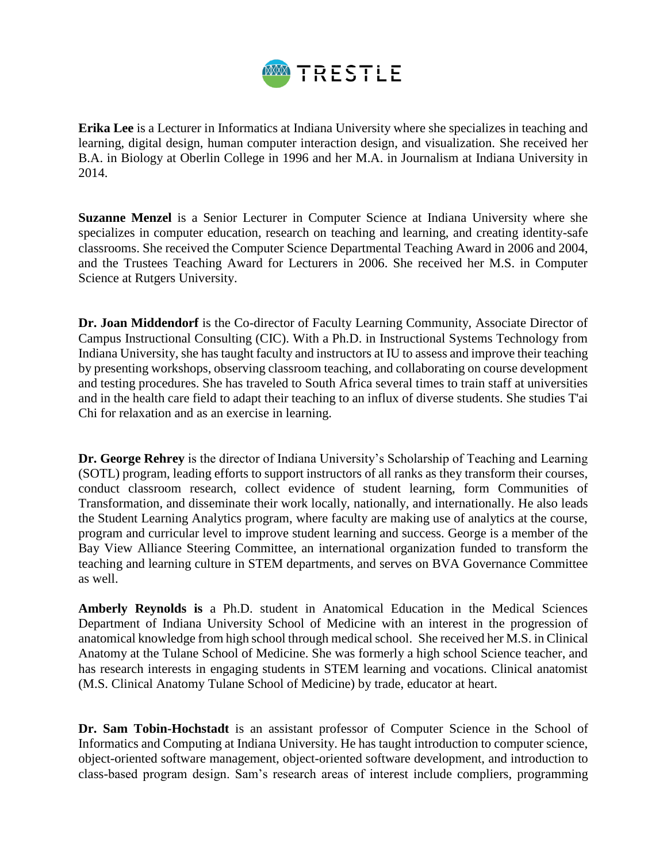

**Erika Lee** is a Lecturer in Informatics at Indiana University where she specializes in teaching and learning, digital design, human computer interaction design, and visualization. She received her B.A. in Biology at Oberlin College in 1996 and her M.A. in Journalism at Indiana University in 2014.

**Suzanne Menzel** is a Senior Lecturer in Computer Science at Indiana University where she specializes in computer education, research on teaching and learning, and creating identity-safe classrooms. She received the Computer Science Departmental Teaching Award in 2006 and 2004, and the Trustees Teaching Award for Lecturers in 2006. She received her M.S. in Computer Science at Rutgers University.

**Dr. Joan Middendorf** is the Co-director of Faculty Learning Community, Associate Director of Campus Instructional Consulting (CIC). With a Ph.D. in Instructional Systems Technology from Indiana University, she has taught faculty and instructors at IU to assess and improve their teaching by presenting workshops, observing classroom teaching, and collaborating on course development and testing procedures. She has traveled to South Africa several times to train staff at universities and in the health care field to adapt their teaching to an influx of diverse students. She studies T'ai Chi for relaxation and as an exercise in learning.

**Dr. George Rehrey** is the director of Indiana University's Scholarship of Teaching and Learning (SOTL) program, leading efforts to support instructors of all ranks as they transform their courses, conduct classroom research, collect evidence of student learning, form Communities of Transformation, and disseminate their work locally, nationally, and internationally. He also leads the Student Learning Analytics program, where faculty are making use of analytics at the course, program and curricular level to improve student learning and success. George is a member of the Bay View Alliance Steering Committee, an international organization funded to transform the teaching and learning culture in STEM departments, and serves on BVA Governance Committee as well.

**Amberly Reynolds is** a Ph.D. student in Anatomical Education in the Medical Sciences Department of Indiana University School of Medicine with an interest in the progression of anatomical knowledge from high school through medical school. She received her M.S. in Clinical Anatomy at the Tulane School of Medicine. She was formerly a high school Science teacher, and has research interests in engaging students in STEM learning and vocations. Clinical anatomist (M.S. Clinical Anatomy Tulane School of Medicine) by trade, educator at heart.

**Dr. Sam Tobin-Hochstadt** is an assistant professor of Computer Science in the School of Informatics and Computing at Indiana University. He has taught introduction to computer science, object-oriented software management, object-oriented software development, and introduction to class-based program design. Sam's research areas of interest include compliers, programming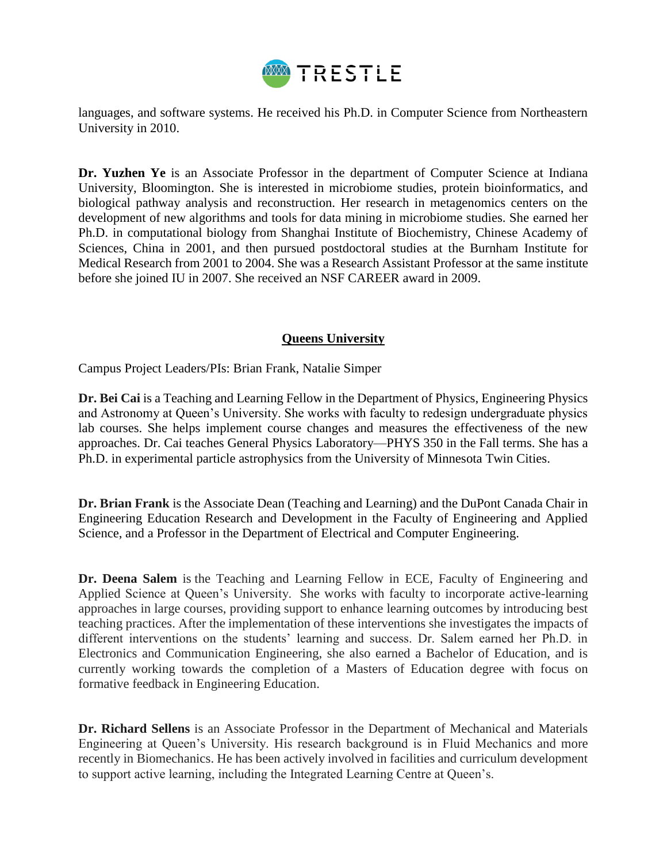

languages, and software systems. He received his Ph.D. in Computer Science from Northeastern University in 2010.

**Dr. Yuzhen Ye** is an Associate Professor in the department of Computer Science at Indiana University, Bloomington. She is interested in microbiome studies, protein bioinformatics, and biological pathway analysis and reconstruction. Her research in metagenomics centers on the development of new algorithms and tools for data mining in microbiome studies. She earned her Ph.D. in computational biology from Shanghai Institute of Biochemistry, Chinese Academy of Sciences, China in 2001, and then pursued postdoctoral studies at the Burnham Institute for Medical Research from 2001 to 2004. She was a Research Assistant Professor at the same institute before she joined IU in 2007. She received an NSF CAREER award in 2009.

## **Queens University**

Campus Project Leaders/PIs: Brian Frank, Natalie Simper

**Dr. Bei Cai** is a Teaching and Learning Fellow in the Department of Physics, Engineering Physics and Astronomy at Queen's University. She works with faculty to redesign undergraduate physics lab courses. She helps implement course changes and measures the effectiveness of the new approaches. Dr. Cai teaches General Physics Laboratory—PHYS 350 in the Fall terms. She has a Ph.D. in experimental particle astrophysics from the University of Minnesota Twin Cities.

**Dr. Brian Frank** is the Associate Dean (Teaching and Learning) and the DuPont Canada Chair in Engineering Education Research and Development in the Faculty of Engineering and Applied Science, and a Professor in the Department of Electrical and Computer Engineering.

**Dr. Deena Salem** is the Teaching and Learning Fellow in ECE, Faculty of Engineering and Applied Science at Queen's University. She works with faculty to incorporate active-learning approaches in large courses, providing support to enhance learning outcomes by introducing best teaching practices. After the implementation of these interventions she investigates the impacts of different interventions on the students' learning and success. Dr. Salem earned her Ph.D. in Electronics and Communication Engineering, she also earned a Bachelor of Education, and is currently working towards the completion of a Masters of Education degree with focus on formative feedback in Engineering Education.

**Dr. Richard Sellens** is an Associate Professor in the Department of Mechanical and Materials Engineering at Queen's University. His research background is in Fluid Mechanics and more recently in Biomechanics. He has been actively involved in facilities and curriculum development to support active learning, including the Integrated Learning Centre at Queen's.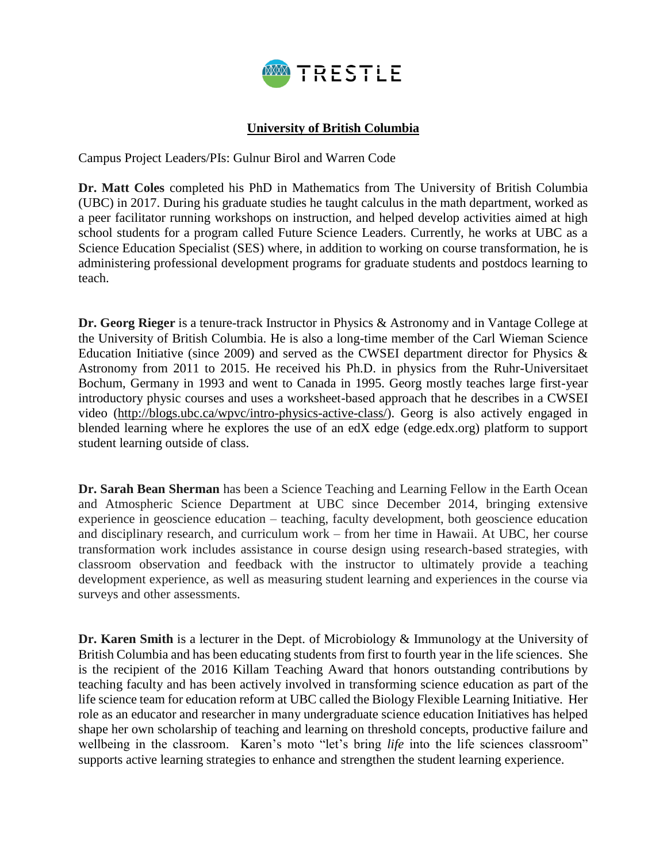

# **University of British Columbia**

Campus Project Leaders/PIs: Gulnur Birol and Warren Code

**Dr. Matt Coles** completed his PhD in Mathematics from The University of British Columbia (UBC) in 2017. During his graduate studies he taught calculus in the math department, worked as a peer facilitator running workshops on instruction, and helped develop activities aimed at high school students for a program called Future Science Leaders. Currently, he works at UBC as a Science Education Specialist (SES) where, in addition to working on course transformation, he is administering professional development programs for graduate students and postdocs learning to teach.

**Dr. Georg Rieger** is a tenure-track Instructor in Physics & Astronomy and in Vantage College at the University of British Columbia. He is also a long-time member of the Carl Wieman Science Education Initiative (since 2009) and served as the CWSEI department director for Physics  $\&$ Astronomy from 2011 to 2015. He received his Ph.D. in physics from the Ruhr-Universitaet Bochum, Germany in 1993 and went to Canada in 1995. Georg mostly teaches large first-year introductory physic courses and uses a worksheet-based approach that he describes in a CWSEI video [\(http://blogs.ubc.ca/wpvc/intro-physics-active-class/\)](http://blogs.ubc.ca/wpvc/intro-physics-active-class/). Georg is also actively engaged in blended learning where he explores the use of an edX edge (edge.edx.org) platform to support student learning outside of class.

**Dr. Sarah Bean Sherman** has been a Science Teaching and Learning Fellow in the Earth Ocean and Atmospheric Science Department at UBC since December 2014, bringing extensive experience in geoscience education – teaching, faculty development, both geoscience education and disciplinary research, and curriculum work – from her time in Hawaii. At UBC, her course transformation work includes assistance in course design using research-based strategies, with classroom observation and feedback with the instructor to ultimately provide a teaching development experience, as well as measuring student learning and experiences in the course via surveys and other assessments.

**Dr. Karen Smith** is a lecturer in the Dept. of Microbiology & Immunology at the University of British Columbia and has been educating students from first to fourth year in the life sciences. She is the recipient of the 2016 Killam Teaching Award that honors outstanding contributions by teaching faculty and has been actively involved in transforming science education as part of the life science team for education reform at UBC called the Biology Flexible Learning Initiative. Her role as an educator and researcher in many undergraduate science education Initiatives has helped shape her own scholarship of teaching and learning on threshold concepts, productive failure and wellbeing in the classroom. Karen's moto "let's bring *life* into the life sciences classroom" supports active learning strategies to enhance and strengthen the student learning experience.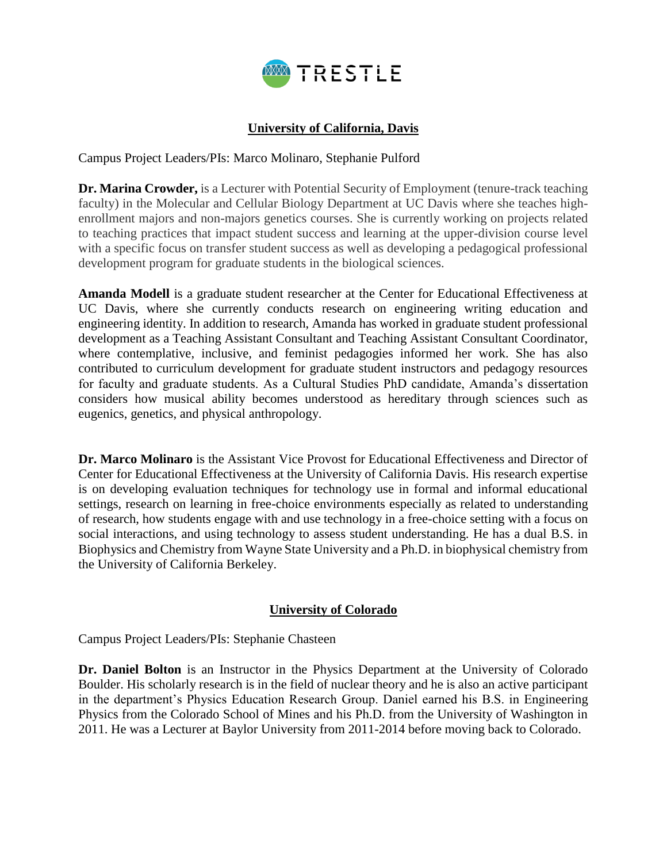

# **University of California, Davis**

Campus Project Leaders/PIs: Marco Molinaro, Stephanie Pulford

**Dr. Marina Crowder,** is a Lecturer with Potential Security of Employment (tenure-track teaching faculty) in the Molecular and Cellular Biology Department at UC Davis where she teaches highenrollment majors and non-majors genetics courses. She is currently working on projects related to teaching practices that impact student success and learning at the upper-division course level with a specific focus on transfer student success as well as developing a pedagogical professional development program for graduate students in the biological sciences.

**Amanda Modell** is a graduate student researcher at the Center for Educational Effectiveness at UC Davis, where she currently conducts research on engineering writing education and engineering identity. In addition to research, Amanda has worked in graduate student professional development as a Teaching Assistant Consultant and Teaching Assistant Consultant Coordinator, where contemplative, inclusive, and feminist pedagogies informed her work. She has also contributed to curriculum development for graduate student instructors and pedagogy resources for faculty and graduate students. As a Cultural Studies PhD candidate, Amanda's dissertation considers how musical ability becomes understood as hereditary through sciences such as eugenics, genetics, and physical anthropology.

**Dr. Marco Molinaro** is the Assistant Vice Provost for Educational Effectiveness and Director of Center for Educational Effectiveness at the University of California Davis. His research expertise is on developing evaluation techniques for technology use in formal and informal educational settings, research on learning in free-choice environments especially as related to understanding of research, how students engage with and use technology in a free-choice setting with a focus on social interactions, and using technology to assess student understanding. He has a dual B.S. in Biophysics and Chemistry from Wayne State University and a Ph.D. in biophysical chemistry from the University of California Berkeley.

## **University of Colorado**

Campus Project Leaders/PIs: Stephanie Chasteen

**Dr. Daniel Bolton** is an Instructor in the Physics Department at the University of Colorado Boulder. His scholarly research is in the field of nuclear theory and he is also an active participant in the department's Physics Education Research Group. Daniel earned his B.S. in Engineering Physics from the Colorado School of Mines and his Ph.D. from the University of Washington in 2011. He was a Lecturer at Baylor University from 2011-2014 before moving back to Colorado.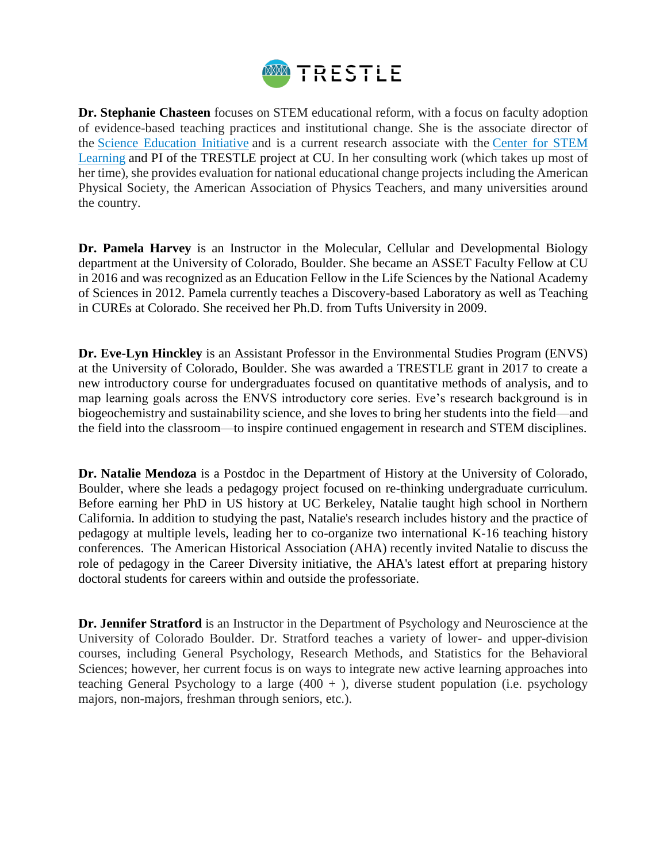

**Dr. Stephanie Chasteen** focuses on STEM educational reform, with a focus on faculty adoption of evidence-based teaching practices and institutional change. She is the associate director of the [Science Education Initiative](http://colorado.edu/sei) and is a current research associate with the [Center for STEM](https://www.colorado.edu/csl)  [Learning](https://www.colorado.edu/csl) and PI of the TRESTLE project at CU. In her consulting work (which takes up most of her time), she provides evaluation for national educational change projects including the American Physical Society, the American Association of Physics Teachers, and many universities around the country.

**Dr. Pamela Harvey** is an Instructor in the Molecular, Cellular and Developmental Biology department at the University of Colorado, Boulder. She became an ASSET Faculty Fellow at CU in 2016 and was recognized as an Education Fellow in the Life Sciences by the National Academy of Sciences in 2012. Pamela currently teaches a Discovery-based Laboratory as well as Teaching in CUREs at Colorado. She received her Ph.D. from Tufts University in 2009.

**Dr. Eve-Lyn Hinckley** is an Assistant Professor in the Environmental Studies Program (ENVS) at the University of Colorado, Boulder. She was awarded a TRESTLE grant in 2017 to create a new introductory course for undergraduates focused on quantitative methods of analysis, and to map learning goals across the ENVS introductory core series. Eve's research background is in biogeochemistry and sustainability science, and she loves to bring her students into the field—and the field into the classroom—to inspire continued engagement in research and STEM disciplines.

**Dr. Natalie Mendoza** is a Postdoc in the Department of History at the University of Colorado, Boulder, where she leads a pedagogy project focused on re-thinking undergraduate curriculum. Before earning her PhD in US history at UC Berkeley, Natalie taught high school in Northern California. In addition to studying the past, Natalie's research includes history and the practice of pedagogy at multiple levels, leading her to co-organize two international K-16 teaching history conferences. The American Historical Association (AHA) recently invited Natalie to discuss the role of pedagogy in the Career Diversity initiative, the AHA's latest effort at preparing history doctoral students for careers within and outside the professoriate.

**Dr. Jennifer Stratford** is an Instructor in the Department of Psychology and Neuroscience at the University of Colorado Boulder. Dr. Stratford teaches a variety of lower- and upper-division courses, including General Psychology, Research Methods, and Statistics for the Behavioral Sciences; however, her current focus is on ways to integrate new active learning approaches into teaching General Psychology to a large  $(400 + )$ , diverse student population (i.e. psychology majors, non-majors, freshman through seniors, etc.).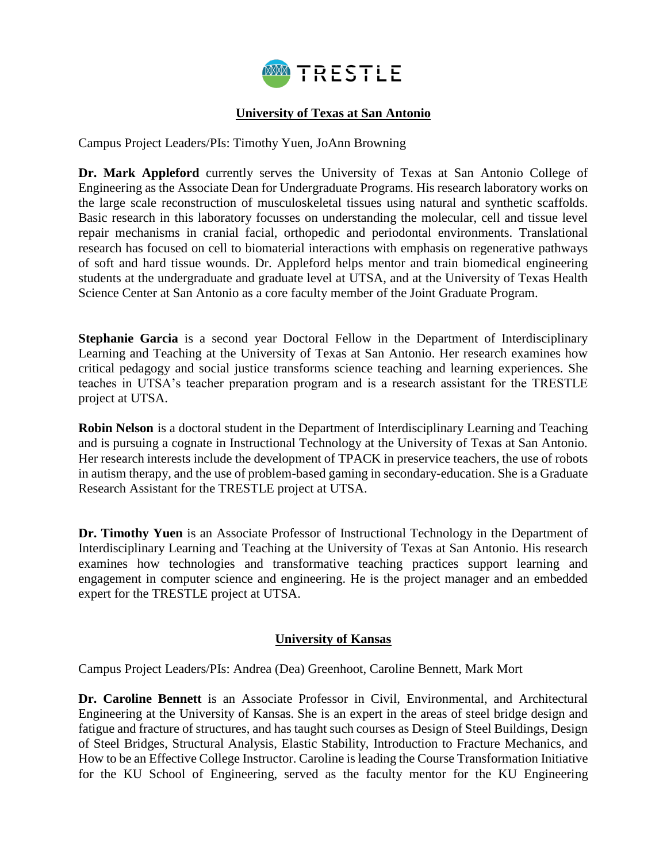

## **University of Texas at San Antonio**

Campus Project Leaders/PIs: Timothy Yuen, JoAnn Browning

**Dr. Mark Appleford** currently serves the University of Texas at San Antonio College of Engineering as the Associate Dean for Undergraduate Programs. His research laboratory works on the large scale reconstruction of musculoskeletal tissues using natural and synthetic scaffolds. Basic research in this laboratory focusses on understanding the molecular, cell and tissue level repair mechanisms in cranial facial, orthopedic and periodontal environments. Translational research has focused on cell to biomaterial interactions with emphasis on regenerative pathways of soft and hard tissue wounds. Dr. Appleford helps mentor and train biomedical engineering students at the undergraduate and graduate level at UTSA, and at the University of Texas Health Science Center at San Antonio as a core faculty member of the Joint Graduate Program.

**Stephanie Garcia** is a second year Doctoral Fellow in the Department of Interdisciplinary Learning and Teaching at the University of Texas at San Antonio. Her research examines how critical pedagogy and social justice transforms science teaching and learning experiences. She teaches in UTSA's teacher preparation program and is a research assistant for the TRESTLE project at UTSA.

**Robin Nelson** is a doctoral student in the Department of Interdisciplinary Learning and Teaching and is pursuing a cognate in Instructional Technology at the University of Texas at San Antonio. Her research interests include the development of TPACK in preservice teachers, the use of robots in autism therapy, and the use of problem-based gaming in secondary-education. She is a Graduate Research Assistant for the TRESTLE project at UTSA.

**Dr. Timothy Yuen** is an Associate Professor of Instructional Technology in the Department of Interdisciplinary Learning and Teaching at the University of Texas at San Antonio. His research examines how technologies and transformative teaching practices support learning and engagement in computer science and engineering. He is the project manager and an embedded expert for the TRESTLE project at UTSA.

#### **University of Kansas**

Campus Project Leaders/PIs: Andrea (Dea) Greenhoot, Caroline Bennett, Mark Mort

**Dr. Caroline Bennett** is an Associate Professor in Civil, Environmental, and Architectural Engineering at the University of Kansas. She is an expert in the areas of steel bridge design and fatigue and fracture of structures, and has taught such courses as Design of Steel Buildings, Design of Steel Bridges, Structural Analysis, Elastic Stability, Introduction to Fracture Mechanics, and How to be an Effective College Instructor. Caroline is leading the Course Transformation Initiative for the KU School of Engineering, served as the faculty mentor for the KU Engineering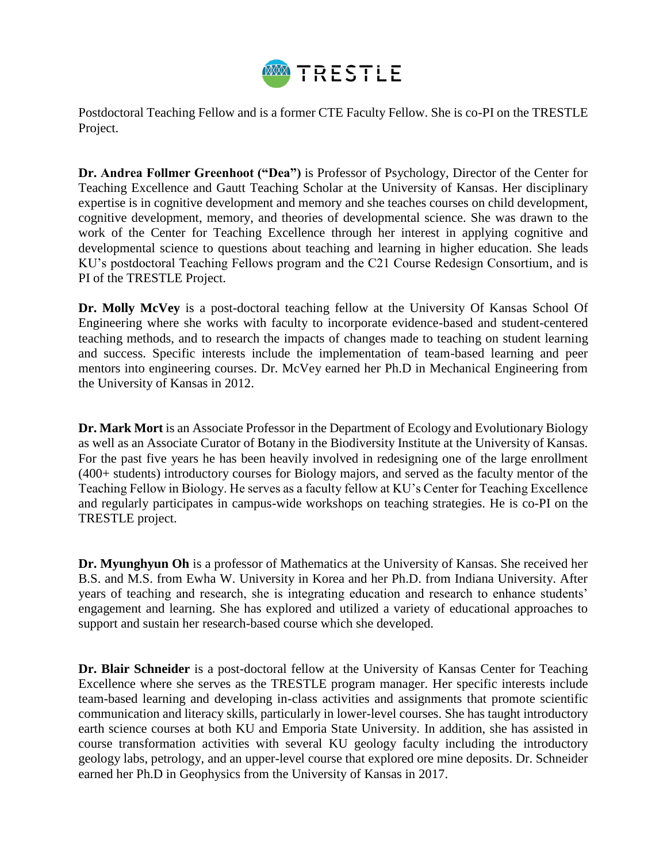

Postdoctoral Teaching Fellow and is a former CTE Faculty Fellow. She is co-PI on the TRESTLE Project.

**Dr. Andrea Follmer Greenhoot ("Dea")** is Professor of Psychology, Director of the Center for Teaching Excellence and Gautt Teaching Scholar at the University of Kansas. Her disciplinary expertise is in cognitive development and memory and she teaches courses on child development, cognitive development, memory, and theories of developmental science. She was drawn to the work of the Center for Teaching Excellence through her interest in applying cognitive and developmental science to questions about teaching and learning in higher education. She leads KU's postdoctoral Teaching Fellows program and the C21 Course Redesign Consortium, and is PI of the TRESTLE Project.

**Dr. Molly McVey** is a post-doctoral teaching fellow at the University Of Kansas School Of Engineering where she works with faculty to incorporate evidence-based and student-centered teaching methods, and to research the impacts of changes made to teaching on student learning and success. Specific interests include the implementation of team-based learning and peer mentors into engineering courses. Dr. McVey earned her Ph.D in Mechanical Engineering from the University of Kansas in 2012.

**Dr. Mark Mort** is an Associate Professor in the Department of Ecology and Evolutionary Biology as well as an Associate Curator of Botany in the Biodiversity Institute at the University of Kansas. For the past five years he has been heavily involved in redesigning one of the large enrollment (400+ students) introductory courses for Biology majors, and served as the faculty mentor of the Teaching Fellow in Biology. He serves as a faculty fellow at KU's Center for Teaching Excellence and regularly participates in campus-wide workshops on teaching strategies. He is co-PI on the TRESTLE project.

**Dr. Myunghyun Oh** is a professor of Mathematics at the University of Kansas. She received her B.S. and M.S. from Ewha W. University in Korea and her Ph.D. from Indiana University. After years of teaching and research, she is integrating education and research to enhance students' engagement and learning. She has explored and utilized a variety of educational approaches to support and sustain her research-based course which she developed.

**Dr. Blair Schneider** is a post-doctoral fellow at the University of Kansas Center for Teaching Excellence where she serves as the TRESTLE program manager. Her specific interests include team-based learning and developing in-class activities and assignments that promote scientific communication and literacy skills, particularly in lower-level courses. She has taught introductory earth science courses at both KU and Emporia State University. In addition, she has assisted in course transformation activities with several KU geology faculty including the introductory geology labs, petrology, and an upper-level course that explored ore mine deposits. Dr. Schneider earned her Ph.D in Geophysics from the University of Kansas in 2017.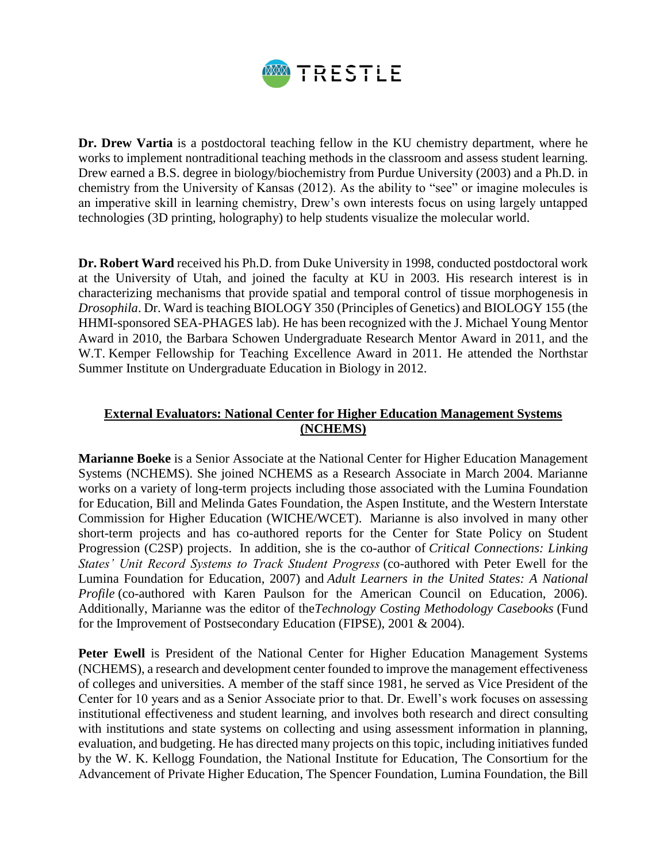

**Dr. Drew Vartia** is a postdoctoral teaching fellow in the KU chemistry department, where he works to implement nontraditional teaching methods in the classroom and assess student learning. Drew earned a B.S. degree in biology/biochemistry from Purdue University (2003) and a Ph.D. in chemistry from the University of Kansas (2012). As the ability to "see" or imagine molecules is an imperative skill in learning chemistry, Drew's own interests focus on using largely untapped technologies (3D printing, holography) to help students visualize the molecular world.

**Dr. Robert Ward** received his Ph.D. from Duke University in 1998, conducted postdoctoral work at the University of Utah, and joined the faculty at KU in 2003. His research interest is in characterizing mechanisms that provide spatial and temporal control of tissue morphogenesis in *Drosophila*. Dr. Ward is teaching BIOLOGY 350 (Principles of Genetics) and BIOLOGY 155 (the HHMI-sponsored SEA-PHAGES lab). He has been recognized with the J. Michael Young Mentor Award in 2010, the Barbara Schowen Undergraduate Research Mentor Award in 2011, and the W.T. Kemper Fellowship for Teaching Excellence Award in 2011. He attended the Northstar Summer Institute on Undergraduate Education in Biology in 2012.

## **External Evaluators: National Center for Higher Education Management Systems (NCHEMS)**

**Marianne Boeke** is a Senior Associate at the National Center for Higher Education Management Systems (NCHEMS). She joined NCHEMS as a Research Associate in March 2004. Marianne works on a variety of long-term projects including those associated with the Lumina Foundation for Education, Bill and Melinda Gates Foundation, the Aspen Institute, and the Western Interstate Commission for Higher Education (WICHE/WCET). Marianne is also involved in many other short-term projects and has co-authored reports for the Center for State Policy on Student Progression (C2SP) projects. In addition, she is the co-author of *Critical Connections: Linking States' Unit Record Systems to Track Student Progress* (co-authored with Peter Ewell for the Lumina Foundation for Education, 2007) and *Adult Learners in the United States: A National Profile* (co-authored with Karen Paulson for the American Council on Education, 2006). Additionally, Marianne was the editor of the*Technology Costing Methodology Casebooks* (Fund for the Improvement of Postsecondary Education (FIPSE), 2001 & 2004).

Peter Ewell is President of the National Center for Higher Education Management Systems (NCHEMS), a research and development center founded to improve the management effectiveness of colleges and universities. A member of the staff since 1981, he served as Vice President of the Center for 10 years and as a Senior Associate prior to that. Dr. Ewell's work focuses on assessing institutional effectiveness and student learning, and involves both research and direct consulting with institutions and state systems on collecting and using assessment information in planning, evaluation, and budgeting. He has directed many projects on this topic, including initiatives funded by the W. K. Kellogg Foundation, the National Institute for Education, The Consortium for the Advancement of Private Higher Education, The Spencer Foundation, Lumina Foundation, the Bill